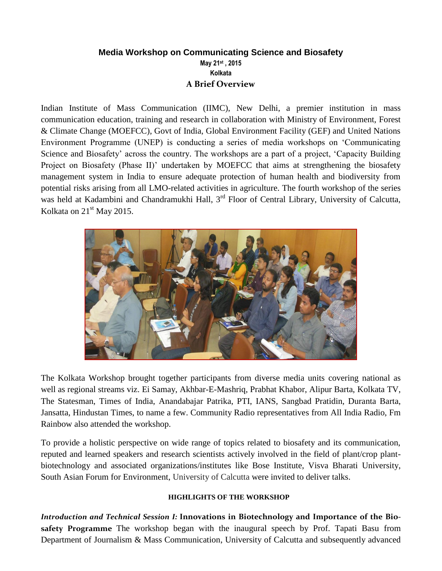## **Media Workshop on Communicating Science and Biosafety May 21st , 2015 Kolkata A Brief Overview**

Indian Institute of Mass Communication (IIMC), New Delhi, a premier institution in mass communication education, training and research in collaboration with Ministry of Environment, Forest & Climate Change (MOEFCC), Govt of India, Global Environment Facility (GEF) and United Nations Environment Programme (UNEP) is conducting a series of media workshops on 'Communicating Science and Biosafety' across the country. The workshops are a part of a project, 'Capacity Building Project on Biosafety (Phase II)' undertaken by MOEFCC that aims at strengthening the biosafety management system in India to ensure adequate protection of human health and biodiversity from potential risks arising from all LMO-related activities in agriculture. The fourth workshop of the series was held at Kadambini and Chandramukhi Hall, 3<sup>rd</sup> Floor of Central Library, University of Calcutta, Kolkata on  $21<sup>st</sup>$  May 2015.



The Kolkata Workshop brought together participants from diverse media units covering national as well as regional streams viz. Ei Samay, Akhbar-E-Mashriq, Prabhat Khabor, Alipur Barta, Kolkata TV, The Statesman, Times of India, Anandabajar Patrika, PTI, IANS, Sangbad Pratidin, Duranta Barta, Jansatta, Hindustan Times, to name a few. Community Radio representatives from All India Radio, Fm Rainbow also attended the workshop.

To provide a holistic perspective on wide range of topics related to biosafety and its communication, reputed and learned speakers and research scientists actively involved in the field of plant/crop plantbiotechnology and associated organizations/institutes like Bose Institute, Visva Bharati University, South Asian Forum for Environment, University of Calcutta were invited to deliver talks.

## **HIGHLIGHTS OF THE WORKSHOP**

*Introduction and Technical Session I:* **Innovations in Biotechnology and Importance of the Biosafety Programme** The workshop began with the inaugural speech by Prof. Tapati Basu from Department of Journalism & Mass Communication, University of Calcutta and subsequently advanced